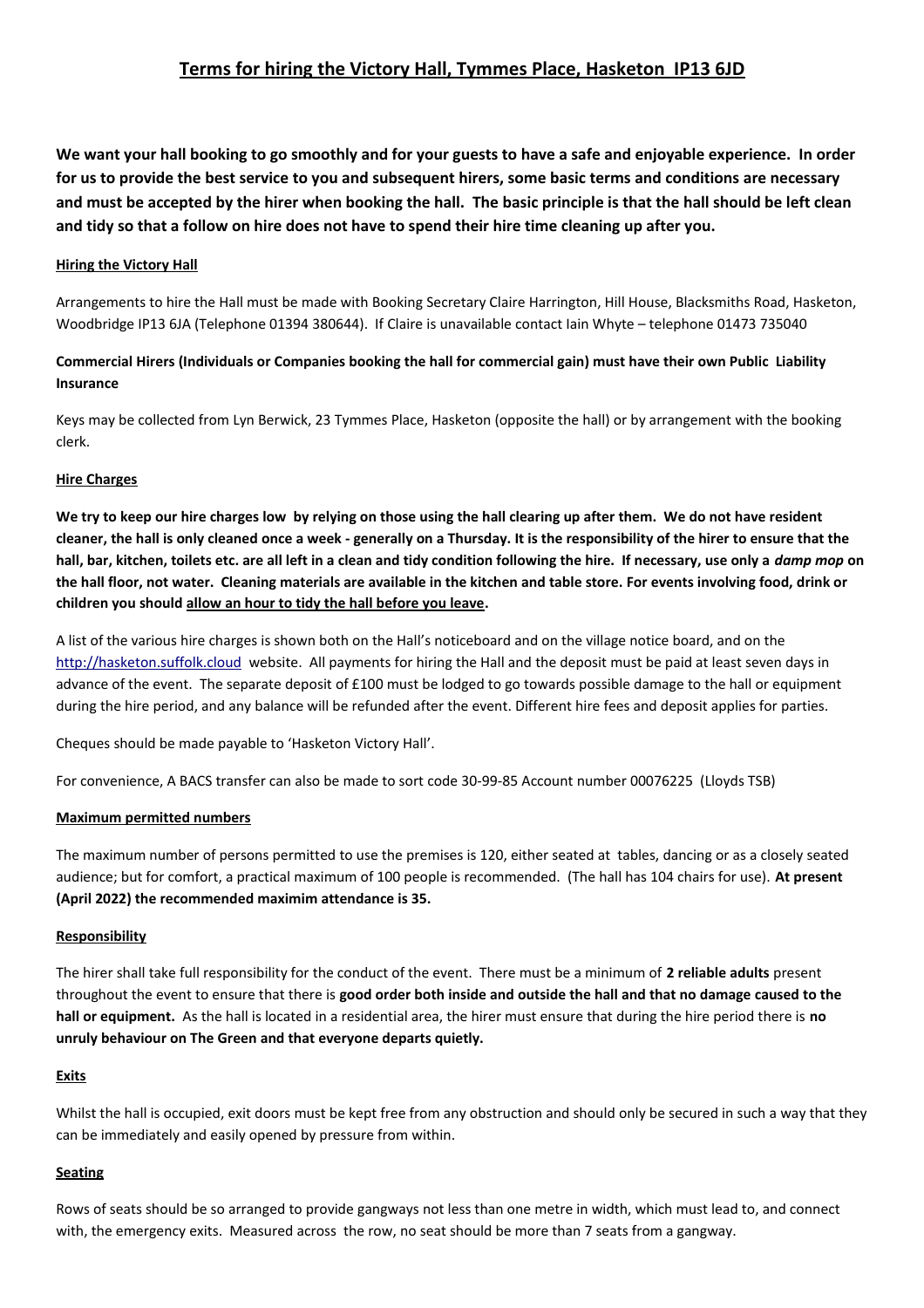### **Terms for hiring the Victory Hall, Tymmes Place, Hasketon IP13 6JD**

**We want your hall booking to go smoothly and for your guests to have a safe and enjoyable experience. In order for us to provide the best service to you and subsequent hirers, some basic terms and conditions are necessary and must be accepted by the hirer when booking the hall. The basic principle is that the hall should be left clean and tidy so that a follow on hire does not have to spend their hire time cleaning up after you.**

#### **Hiring the Victory Hall**

Arrangements to hire the Hall must be made with Booking Secretary Claire Harrington, Hill House, Blacksmiths Road, Hasketon, Woodbridge IP13 6JA (Telephone 01394 380644). If Claire is unavailable contact Iain Whyte – telephone 01473 735040

#### **Commercial Hirers (Individuals or Companies booking the hall for commercial gain) must have their own Public Liability Insurance**

Keys may be collected from Lyn Berwick, 23 Tymmes Place, Hasketon (opposite the hall) or by arrangement with the booking clerk.

#### **Hire Charges**

**We try to keep our hire charges low by relying on those using the hall clearing up after them. We do not have resident cleaner, the hall is only cleaned once a week - generally on a Thursday. It is the responsibility of the hirer to ensure that the hall, bar, kitchen, toilets etc. are all left in a clean and tidy condition following the hire. If necessary, use only a** *damp mop* **on the hall floor, not water. Cleaning materials are available in the kitchen and table store. For events involving food, drink or children you should allow an hour to tidy the hall before you leave.**

A list of the various hire charges is shown both on the Hall's noticeboard and on the village notice board, and on the [http://hasketon.suffolk.cloud](http://hasketon.suffolk.cloud/) website. All payments for hiring the Hall and the deposit must be paid at least seven days in advance of the event. The separate deposit of £100 must be lodged to go towards possible damage to the hall or equipment during the hire period, and any balance will be refunded after the event. Different hire fees and deposit applies for parties.

Cheques should be made payable to 'Hasketon Victory Hall'.

For convenience, A BACS transfer can also be made to sort code 30-99-85 Account number 00076225 (Lloyds TSB)

#### **Maximum permitted numbers**

The maximum number of persons permitted to use the premises is 120, either seated at tables, dancing or as a closely seated audience; but for comfort, a practical maximum of 100 people is recommended. (The hall has 104 chairs for use). **At present (April 2022) the recommended maximim attendance is 35.** 

#### **Responsibility**

The hirer shall take full responsibility for the conduct of the event. There must be a minimum of **2 reliable adults** present throughout the event to ensure that there is **good order both inside and outside the hall and that no damage caused to the hall or equipment.** As the hall is located in a residential area, the hirer must ensure that during the hire period there is **no unruly behaviour on The Green and that everyone departs quietly.**

#### **Exits**

Whilst the hall is occupied, exit doors must be kept free from any obstruction and should only be secured in such a way that they can be immediately and easily opened by pressure from within.

#### **Seating**

Rows of seats should be so arranged to provide gangways not less than one metre in width, which must lead to, and connect with, the emergency exits. Measured across the row, no seat should be more than 7 seats from a gangway.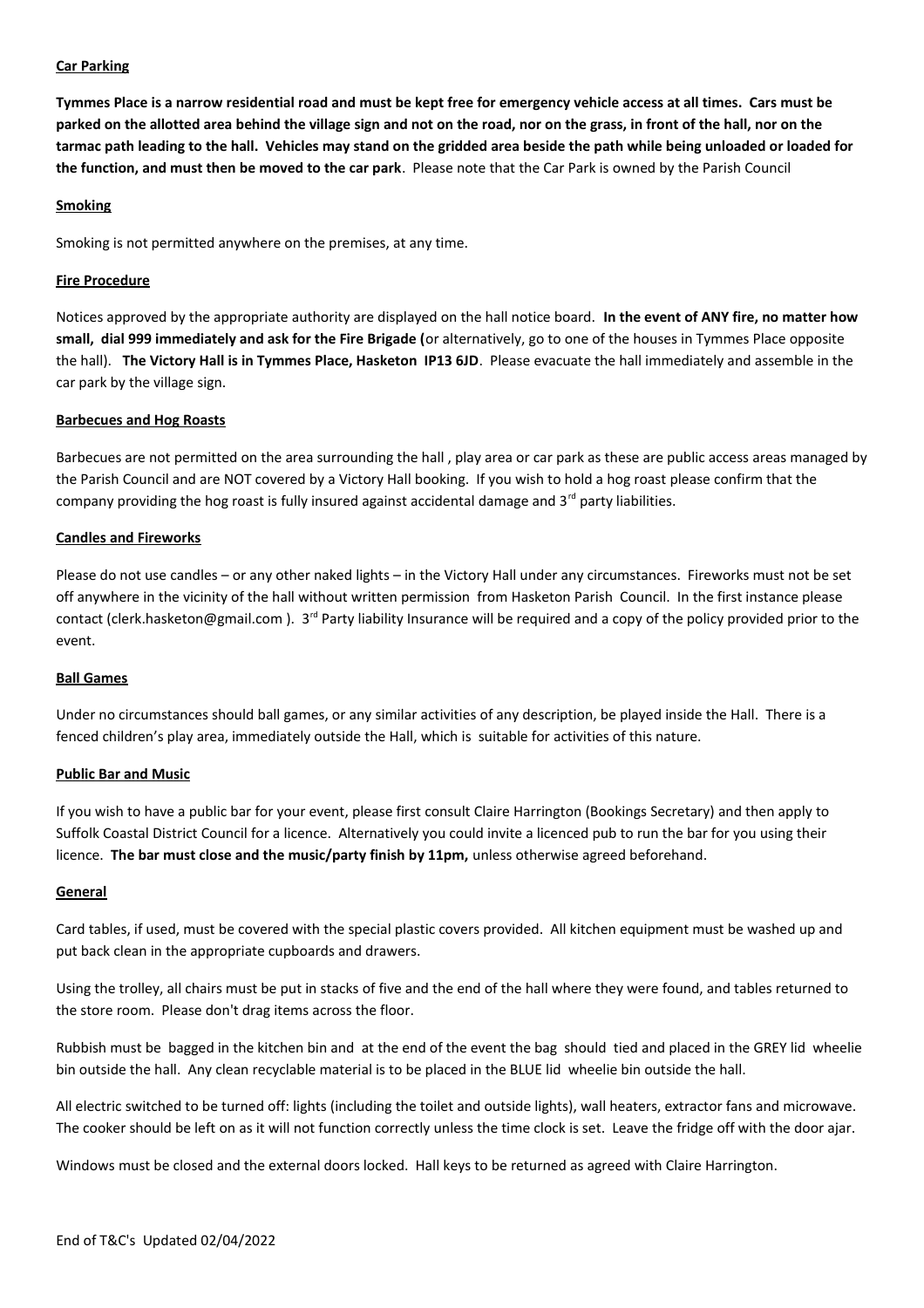#### **Car Parking**

**Tymmes Place is a narrow residential road and must be kept free for emergency vehicle access at all times. Cars must be parked on the allotted area behind the village sign and not on the road, nor on the grass, in front of the hall, nor on the tarmac path leading to the hall. Vehicles may stand on the gridded area beside the path while being unloaded or loaded for the function, and must then be moved to the car park**. Please note that the Car Park is owned by the Parish Council

#### **Smoking**

Smoking is not permitted anywhere on the premises, at any time.

#### **Fire Procedure**

Notices approved by the appropriate authority are displayed on the hall notice board. **In the event of ANY fire, no matter how small, dial 999 immediately and ask for the Fire Brigade (**or alternatively, go to one of the houses in Tymmes Place opposite the hall). **The Victory Hall is in Tymmes Place, Hasketon IP13 6JD**. Please evacuate the hall immediately and assemble in the car park by the village sign.

#### **Barbecues and Hog Roasts**

Barbecues are not permitted on the area surrounding the hall , play area or car park as these are public access areas managed by the Parish Council and are NOT covered by a Victory Hall booking. If you wish to hold a hog roast please confirm that the company providing the hog roast is fully insured against accidental damage and  $3<sup>rd</sup>$  party liabilities.

#### **Candles and Fireworks**

Please do not use candles – or any other naked lights – in the Victory Hall under any circumstances. Fireworks must not be set off anywhere in the vicinity of the hall without written permission from Hasketon Parish Council. In the first instance please contact (clerk.hasketon@gmail.com). 3<sup>rd</sup> Party liability Insurance will be required and a copy of the policy provided prior to the event.

#### **Ball Games**

Under no circumstances should ball games, or any similar activities of any description, be played inside the Hall. There is a fenced children's play area, immediately outside the Hall, which is suitable for activities of this nature.

#### **Public Bar and Music**

If you wish to have a public bar for your event, please first consult Claire Harrington (Bookings Secretary) and then apply to Suffolk Coastal District Council for a licence. Alternatively you could invite a licenced pub to run the bar for you using their licence. **The bar must close and the music/party finish by 11pm,** unless otherwise agreed beforehand.

#### **General**

Card tables, if used, must be covered with the special plastic covers provided. All kitchen equipment must be washed up and put back clean in the appropriate cupboards and drawers.

Using the trolley, all chairs must be put in stacks of five and the end of the hall where they were found, and tables returned to the store room. Please don't drag items across the floor.

Rubbish must be bagged in the kitchen bin and at the end of the event the bag should tied and placed in the GREY lid wheelie bin outside the hall. Any clean recyclable material is to be placed in the BLUE lid wheelie bin outside the hall.

All electric switched to be turned off: lights (including the toilet and outside lights), wall heaters, extractor fans and microwave. The cooker should be left on as it will not function correctly unless the time clock is set. Leave the fridge off with the door ajar.

Windows must be closed and the external doors locked. Hall keys to be returned as agreed with Claire Harrington.